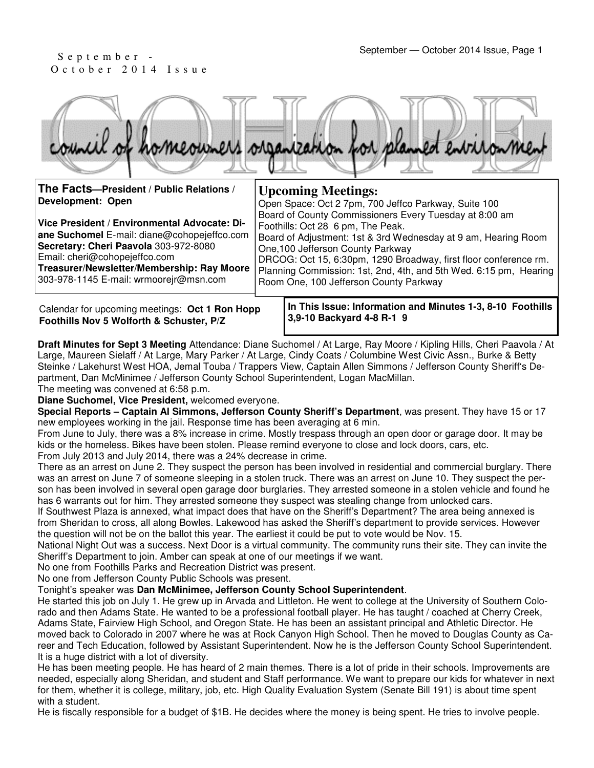# O c t o b e r 2 0 1 4 I s s u e

|                                                               | council of homeowners organization for planned entrionment                                                                                  |
|---------------------------------------------------------------|---------------------------------------------------------------------------------------------------------------------------------------------|
| The Facts-President / Public Relations /<br>Development: Open | <b>Upcoming Meetings:</b><br>Open Space: Oct 2 7pm, 700 Jeffco Parkway, Suite 100<br>Board of County Commissioners Every Tuesday at 8:00 am |

**Vice President / Environmental Advocate: Diane Suchomel** E-mail: diane@cohopejeffco.com **Secretary: Cheri Paavola** 303-972-8080 Email: cheri@cohopejeffco.com **Treasurer/Newsletter/Membership: Ray Moore**  303-978-1145 E-mail: wrmoorejr@msn.com Foothills: Oct 28 6 pm, The Peak. Board of Adjustment: 1st & 3rd Wednesday at 9 am, Hearing Room One,100 Jefferson County Parkway DRCOG: Oct 15, 6:30pm, 1290 Broadway, first floor conference rm. Planning Commission: 1st, 2nd, 4th, and 5th Wed. 6:15 pm, Hearing Room One, 100 Jefferson County Parkway

Calendar for upcoming meetings: **Oct 1 Ron Hopp Foothills Nov 5 Wolforth & Schuster, P/Z**

**In This Issue: Information and Minutes 1-3, 8-10 Foothills 3,9-10 Backyard 4-8 R-1 9** 

**Draft Minutes for Sept 3 Meeting** Attendance: Diane Suchomel / At Large, Ray Moore / Kipling Hills, Cheri Paavola / At Large, Maureen Sielaff / At Large, Mary Parker / At Large, Cindy Coats / Columbine West Civic Assn., Burke & Betty Steinke / Lakehurst West HOA, Jemal Touba / Trappers View, Captain Allen Simmons / Jefferson County Sheriff's Department, Dan McMinimee / Jefferson County School Superintendent, Logan MacMillan.

The meeting was convened at 6:58 p.m.

**Diane Suchomel, Vice President,** welcomed everyone.

**Special Reports – Captain Al Simmons, Jefferson County Sheriff's Department**, was present. They have 15 or 17 new employees working in the jail. Response time has been averaging at 6 min.

From June to July, there was a 8% increase in crime. Mostly trespass through an open door or garage door. It may be kids or the homeless. Bikes have been stolen. Please remind everyone to close and lock doors, cars, etc. From July 2013 and July 2014, there was a 24% decrease in crime.

There as an arrest on June 2. They suspect the person has been involved in residential and commercial burglary. There was an arrest on June 7 of someone sleeping in a stolen truck. There was an arrest on June 10. They suspect the person has been involved in several open garage door burglaries. They arrested someone in a stolen vehicle and found he has 6 warrants out for him. They arrested someone they suspect was stealing change from unlocked cars.

If Southwest Plaza is annexed, what impact does that have on the Sheriff's Department? The area being annexed is from Sheridan to cross, all along Bowles. Lakewood has asked the Sheriff's department to provide services. However the question will not be on the ballot this year. The earliest it could be put to vote would be Nov. 15.

National Night Out was a success. Next Door is a virtual community. The community runs their site. They can invite the Sheriff's Department to join. Amber can speak at one of our meetings if we want.

No one from Foothills Parks and Recreation District was present.

No one from Jefferson County Public Schools was present.

Tonight's speaker was **Dan McMinimee, Jefferson County School Superintendent**.

He started this job on July 1. He grew up in Arvada and Littleton. He went to college at the University of Southern Colorado and then Adams State. He wanted to be a professional football player. He has taught / coached at Cherry Creek, Adams State, Fairview High School, and Oregon State. He has been an assistant principal and Athletic Director. He moved back to Colorado in 2007 where he was at Rock Canyon High School. Then he moved to Douglas County as Career and Tech Education, followed by Assistant Superintendent. Now he is the Jefferson County School Superintendent. It is a huge district with a lot of diversity.

He has been meeting people. He has heard of 2 main themes. There is a lot of pride in their schools. Improvements are needed, especially along Sheridan, and student and Staff performance. We want to prepare our kids for whatever in next for them, whether it is college, military, job, etc. High Quality Evaluation System (Senate Bill 191) is about time spent with a student.

He is fiscally responsible for a budget of \$1B. He decides where the money is being spent. He tries to involve people.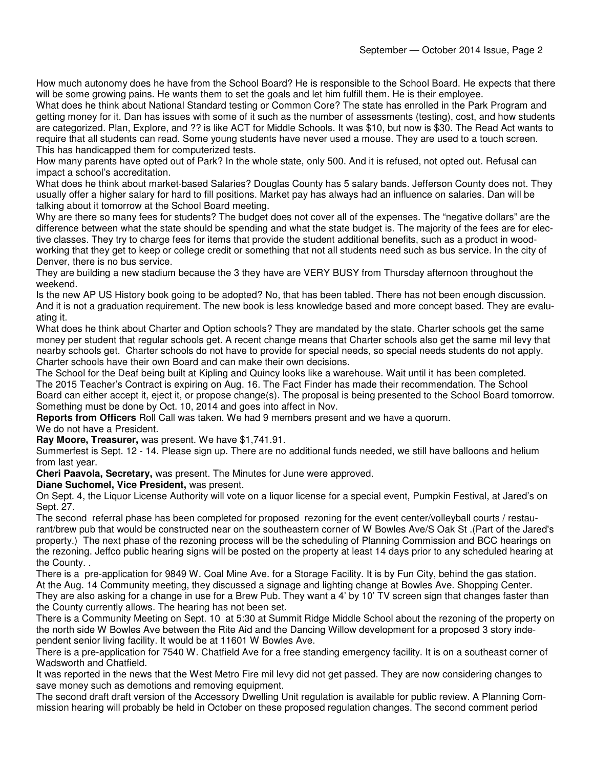How much autonomy does he have from the School Board? He is responsible to the School Board. He expects that there will be some growing pains. He wants them to set the goals and let him fulfill them. He is their employee.

What does he think about National Standard testing or Common Core? The state has enrolled in the Park Program and getting money for it. Dan has issues with some of it such as the number of assessments (testing), cost, and how students are categorized. Plan, Explore, and ?? is like ACT for Middle Schools. It was \$10, but now is \$30. The Read Act wants to require that all students can read. Some young students have never used a mouse. They are used to a touch screen. This has handicapped them for computerized tests.

How many parents have opted out of Park? In the whole state, only 500. And it is refused, not opted out. Refusal can impact a school's accreditation.

What does he think about market-based Salaries? Douglas County has 5 salary bands. Jefferson County does not. They usually offer a higher salary for hard to fill positions. Market pay has always had an influence on salaries. Dan will be talking about it tomorrow at the School Board meeting.

Why are there so many fees for students? The budget does not cover all of the expenses. The "negative dollars" are the difference between what the state should be spending and what the state budget is. The majority of the fees are for elective classes. They try to charge fees for items that provide the student additional benefits, such as a product in woodworking that they get to keep or college credit or something that not all students need such as bus service. In the city of Denver, there is no bus service.

They are building a new stadium because the 3 they have are VERY BUSY from Thursday afternoon throughout the weekend.

Is the new AP US History book going to be adopted? No, that has been tabled. There has not been enough discussion. And it is not a graduation requirement. The new book is less knowledge based and more concept based. They are evaluating it.

What does he think about Charter and Option schools? They are mandated by the state. Charter schools get the same money per student that regular schools get. A recent change means that Charter schools also get the same mil levy that nearby schools get. Charter schools do not have to provide for special needs, so special needs students do not apply. Charter schools have their own Board and can make their own decisions.

The School for the Deaf being built at Kipling and Quincy looks like a warehouse. Wait until it has been completed. The 2015 Teacher's Contract is expiring on Aug. 16. The Fact Finder has made their recommendation. The School Board can either accept it, eject it, or propose change(s). The proposal is being presented to the School Board tomorrow. Something must be done by Oct. 10, 2014 and goes into affect in Nov.

**Reports from Officers** Roll Call was taken. We had 9 members present and we have a quorum.

### We do not have a President.

**Ray Moore, Treasurer,** was present. We have \$1,741.91.

Summerfest is Sept. 12 - 14. Please sign up. There are no additional funds needed, we still have balloons and helium from last year.

**Cheri Paavola, Secretary,** was present. The Minutes for June were approved.

### **Diane Suchomel, Vice President,** was present.

On Sept. 4, the Liquor License Authority will vote on a liquor license for a special event, Pumpkin Festival, at Jared's on Sept. 27.

The second referral phase has been completed for proposed rezoning for the event center/volleyball courts / restaurant/brew pub that would be constructed near on the southeastern corner of W Bowles Ave/S Oak St .(Part of the Jared's property.) The next phase of the rezoning process will be the scheduling of Planning Commission and BCC hearings on the rezoning. Jeffco public hearing signs will be posted on the property at least 14 days prior to any scheduled hearing at the County. .

There is a pre-application for 9849 W. Coal Mine Ave. for a Storage Facility. It is by Fun City, behind the gas station. At the Aug. 14 Community meeting, they discussed a signage and lighting change at Bowles Ave. Shopping Center. They are also asking for a change in use for a Brew Pub. They want a 4' by 10' TV screen sign that changes faster than the County currently allows. The hearing has not been set.

There is a Community Meeting on Sept. 10 at 5:30 at Summit Ridge Middle School about the rezoning of the property on the north side W Bowles Ave between the Rite Aid and the Dancing Willow development for a proposed 3 story independent senior living facility. It would be at 11601 W Bowles Ave.

There is a pre-application for 7540 W. Chatfield Ave for a free standing emergency facility. It is on a southeast corner of Wadsworth and Chatfield.

It was reported in the news that the West Metro Fire mil levy did not get passed. They are now considering changes to save money such as demotions and removing equipment.

The second draft draft version of the Accessory Dwelling Unit regulation is available for public review. A Planning Commission hearing will probably be held in October on these proposed regulation changes. The second comment period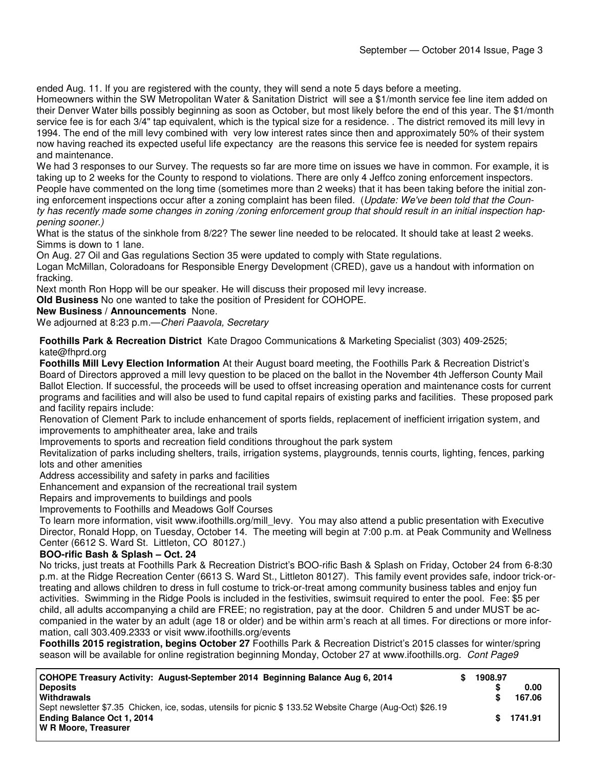ended Aug. 11. If you are registered with the county, they will send a note 5 days before a meeting.

Homeowners within the SW Metropolitan Water & Sanitation District will see a \$1/month service fee line item added on their Denver Water bills possibly beginning as soon as October, but most likely before the end of this year. The \$1/month service fee is for each 3/4" tap equivalent, which is the typical size for a residence. . The district removed its mill levy in 1994. The end of the mill levy combined with very low interest rates since then and approximately 50% of their system now having reached its expected useful life expectancy are the reasons this service fee is needed for system repairs and maintenance.

We had 3 responses to our Survey. The requests so far are more time on issues we have in common. For example, it is taking up to 2 weeks for the County to respond to violations. There are only 4 Jeffco zoning enforcement inspectors. People have commented on the long time (sometimes more than 2 weeks) that it has been taking before the initial zoning enforcement inspections occur after a zoning complaint has been filed. (Update: We've been told that the County has recently made some changes in zoning /zoning enforcement group that should result in an initial inspection happening sooner.)

What is the status of the sinkhole from 8/22? The sewer line needed to be relocated. It should take at least 2 weeks. Simms is down to 1 lane.

On Aug. 27 Oil and Gas regulations Section 35 were updated to comply with State regulations.

Logan McMillan, Coloradoans for Responsible Energy Development (CRED), gave us a handout with information on fracking.

Next month Ron Hopp will be our speaker. He will discuss their proposed mil levy increase.

**Old Business** No one wanted to take the position of President for COHOPE.

**New Business / Announcements** None.

We adjourned at 8:23 p.m.—Cheri Paavola, Secretary

**Foothills Park & Recreation District** Kate Dragoo Communications & Marketing Specialist (303) 409-2525; kate@fhprd.org

**Foothills Mill Levy Election Information** At their August board meeting, the Foothills Park & Recreation District's Board of Directors approved a mill levy question to be placed on the ballot in the November 4th Jefferson County Mail Ballot Election. If successful, the proceeds will be used to offset increasing operation and maintenance costs for current programs and facilities and will also be used to fund capital repairs of existing parks and facilities. These proposed park and facility repairs include:

Renovation of Clement Park to include enhancement of sports fields, replacement of inefficient irrigation system, and improvements to amphitheater area, lake and trails

Improvements to sports and recreation field conditions throughout the park system

Revitalization of parks including shelters, trails, irrigation systems, playgrounds, tennis courts, lighting, fences, parking lots and other amenities

Address accessibility and safety in parks and facilities

Enhancement and expansion of the recreational trail system

Repairs and improvements to buildings and pools

Improvements to Foothills and Meadows Golf Courses

To learn more information, visit www.ifoothills.org/mill\_levy. You may also attend a public presentation with Executive Director, Ronald Hopp, on Tuesday, October 14. The meeting will begin at 7:00 p.m. at Peak Community and Wellness Center (6612 S. Ward St. Littleton, CO 80127.)

### **BOO-rific Bash & Splash – Oct. 24**

No tricks, just treats at Foothills Park & Recreation District's BOO-rific Bash & Splash on Friday, October 24 from 6-8:30 p.m. at the Ridge Recreation Center (6613 S. Ward St., Littleton 80127). This family event provides safe, indoor trick-ortreating and allows children to dress in full costume to trick-or-treat among community business tables and enjoy fun activities. Swimming in the Ridge Pools is included in the festivities, swimsuit required to enter the pool. Fee: \$5 per child, all adults accompanying a child are FREE; no registration, pay at the door. Children 5 and under MUST be accompanied in the water by an adult (age 18 or older) and be within arm's reach at all times. For directions or more information, call 303.409.2333 or visit www.ifoothills.org/events

**Foothills 2015 registration, begins October 27** Foothills Park & Recreation District's 2015 classes for winter/spring season will be available for online registration beginning Monday, October 27 at www.ifoothills.org. Cont Page9

| COHOPE Treasury Activity: August-September 2014 Beginning Balance Aug 6, 2014                              | 1908.97 |         |
|------------------------------------------------------------------------------------------------------------|---------|---------|
| <b>Deposits</b>                                                                                            |         | 0.00    |
| Withdrawals                                                                                                |         | 167.06  |
| Sept newsletter \$7.35 Chicken, ice, sodas, utensils for picnic \$ 133.52 Website Charge (Aug-Oct) \$26.19 |         |         |
| <b>Ending Balance Oct 1, 2014</b>                                                                          | S.      | 1741.91 |
| W R Moore, Treasurer                                                                                       |         |         |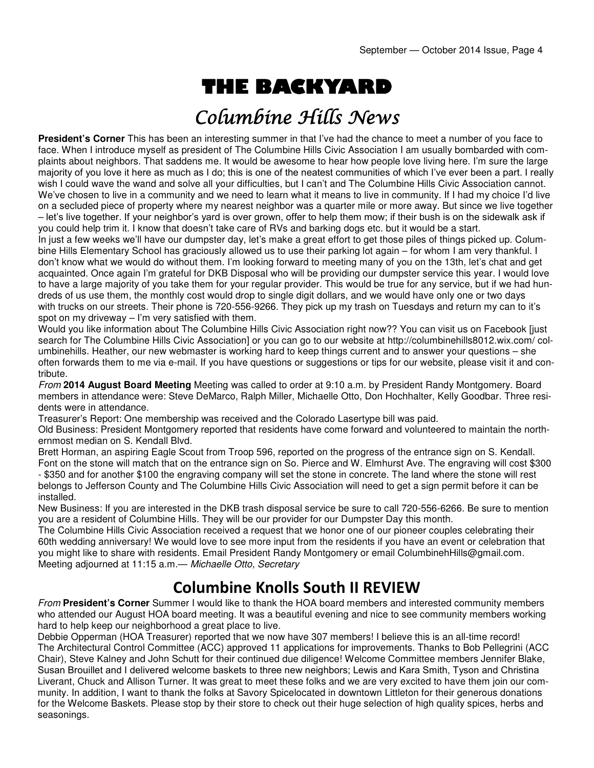# THE BACKYARD

## Columbine Hills News

**President's Corner** This has been an interesting summer in that I've had the chance to meet a number of you face to face. When I introduce myself as president of The Columbine Hills Civic Association I am usually bombarded with complaints about neighbors. That saddens me. It would be awesome to hear how people love living here. I'm sure the large majority of you love it here as much as I do; this is one of the neatest communities of which I've ever been a part. I really wish I could wave the wand and solve all your difficulties, but I can't and The Columbine Hills Civic Association cannot. We've chosen to live in a community and we need to learn what it means to live in community. If I had my choice I'd live on a secluded piece of property where my nearest neighbor was a quarter mile or more away. But since we live together – let's live together. If your neighbor's yard is over grown, offer to help them mow; if their bush is on the sidewalk ask if you could help trim it. I know that doesn't take care of RVs and barking dogs etc. but it would be a start.

In just a few weeks we'll have our dumpster day, let's make a great effort to get those piles of things picked up. Columbine Hills Elementary School has graciously allowed us to use their parking lot again – for whom I am very thankful. I don't know what we would do without them. I'm looking forward to meeting many of you on the 13th, let's chat and get acquainted. Once again I'm grateful for DKB Disposal who will be providing our dumpster service this year. I would love to have a large majority of you take them for your regular provider. This would be true for any service, but if we had hundreds of us use them, the monthly cost would drop to single digit dollars, and we would have only one or two days with trucks on our streets. Their phone is 720-556-9266. They pick up my trash on Tuesdays and return my can to it's spot on my driveway – I'm very satisfied with them.

Would you like information about The Columbine Hills Civic Association right now?? You can visit us on Facebook [just search for The Columbine Hills Civic Association] or you can go to our website at http://columbinehills8012.wix.com/ columbinehills. Heather, our new webmaster is working hard to keep things current and to answer your questions – she often forwards them to me via e-mail. If you have questions or suggestions or tips for our website, please visit it and contribute.

From **2014 August Board Meeting** Meeting was called to order at 9:10 a.m. by President Randy Montgomery. Board members in attendance were: Steve DeMarco, Ralph Miller, Michaelle Otto, Don Hochhalter, Kelly Goodbar. Three residents were in attendance.

Treasurer's Report: One membership was received and the Colorado Lasertype bill was paid.

Old Business: President Montgomery reported that residents have come forward and volunteered to maintain the northernmost median on S. Kendall Blvd.

Brett Horman, an aspiring Eagle Scout from Troop 596, reported on the progress of the entrance sign on S. Kendall. Font on the stone will match that on the entrance sign on So. Pierce and W. Elmhurst Ave. The engraving will cost \$300 - \$350 and for another \$100 the engraving company will set the stone in concrete. The land where the stone will rest belongs to Jefferson County and The Columbine Hills Civic Association will need to get a sign permit before it can be installed.

New Business: If you are interested in the DKB trash disposal service be sure to call 720-556-6266. Be sure to mention you are a resident of Columbine Hills. They will be our provider for our Dumpster Day this month.

The Columbine Hills Civic Association received a request that we honor one of our pioneer couples celebrating their 60th wedding anniversary! We would love to see more input from the residents if you have an event or celebration that you might like to share with residents. Email President Randy Montgomery or email ColumbinehHills@gmail.com. Meeting adjourned at 11:15 a.m.— Michaelle Otto, Secretary

## Columbine Knolls South II REVIEW

From **President's Corner** Summer I would like to thank the HOA board members and interested community members who attended our August HOA board meeting. It was a beautiful evening and nice to see community members working hard to help keep our neighborhood a great place to live.

Debbie Opperman (HOA Treasurer) reported that we now have 307 members! I believe this is an all-time record! The Architectural Control Committee (ACC) approved 11 applications for improvements. Thanks to Bob Pellegrini (ACC Chair), Steve Kalney and John Schutt for their continued due diligence! Welcome Committee members Jennifer Blake, Susan Brouillet and I delivered welcome baskets to three new neighbors; Lewis and Kara Smith, Tyson and Christina Liverant, Chuck and Allison Turner. It was great to meet these folks and we are very excited to have them join our community. In addition, I want to thank the folks at Savory Spicelocated in downtown Littleton for their generous donations for the Welcome Baskets. Please stop by their store to check out their huge selection of high quality spices, herbs and seasonings.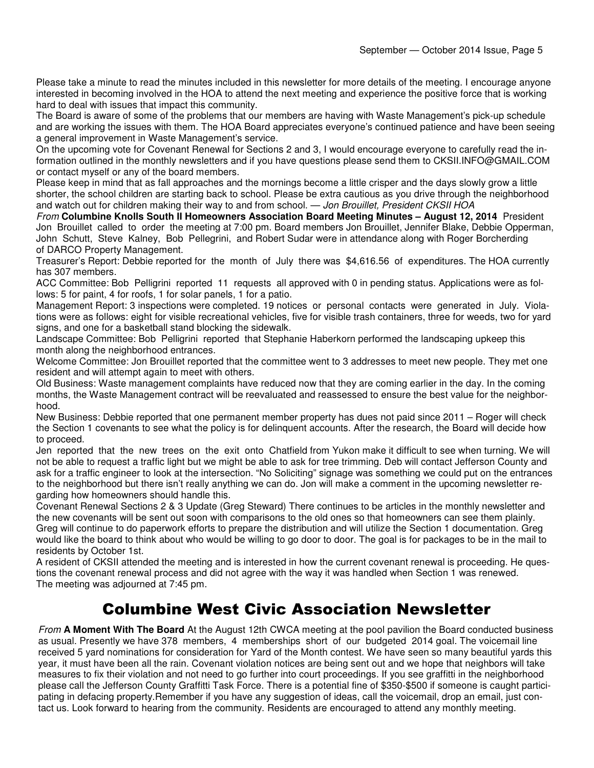Please take a minute to read the minutes included in this newsletter for more details of the meeting. I encourage anyone interested in becoming involved in the HOA to attend the next meeting and experience the positive force that is working hard to deal with issues that impact this community.

The Board is aware of some of the problems that our members are having with Waste Management's pick-up schedule and are working the issues with them. The HOA Board appreciates everyone's continued patience and have been seeing a general improvement in Waste Management's service.

On the upcoming vote for Covenant Renewal for Sections 2 and 3, I would encourage everyone to carefully read the information outlined in the monthly newsletters and if you have questions please send them to CKSII.INFO@GMAIL.COM or contact myself or any of the board members.

Please keep in mind that as fall approaches and the mornings become a little crisper and the days slowly grow a little shorter, the school children are starting back to school. Please be extra cautious as you drive through the neighborhood and watch out for children making their way to and from school. — Jon Brouillet, President CKSII HOA

From **Columbine Knolls South II Homeowners Association Board Meeting Minutes – August 12, 2014** President Jon Brouillet called to order the meeting at 7:00 pm. Board members Jon Brouillet, Jennifer Blake, Debbie Opperman, John Schutt, Steve Kalney, Bob Pellegrini, and Robert Sudar were in attendance along with Roger Borcherding of DARCO Property Management.

Treasurer's Report: Debbie reported for the month of July there was \$4,616.56 of expenditures. The HOA currently has 307 members.

ACC Committee: Bob Pelligrini reported 11 requests all approved with 0 in pending status. Applications were as follows: 5 for paint, 4 for roofs, 1 for solar panels, 1 for a patio.

Management Report: 3 inspections were completed. 19 notices or personal contacts were generated in July. Violations were as follows: eight for visible recreational vehicles, five for visible trash containers, three for weeds, two for yard signs, and one for a basketball stand blocking the sidewalk.

Landscape Committee: Bob Pelligrini reported that Stephanie Haberkorn performed the landscaping upkeep this month along the neighborhood entrances.

Welcome Committee: Jon Brouillet reported that the committee went to 3 addresses to meet new people. They met one resident and will attempt again to meet with others.

Old Business: Waste management complaints have reduced now that they are coming earlier in the day. In the coming months, the Waste Management contract will be reevaluated and reassessed to ensure the best value for the neighborhood.

New Business: Debbie reported that one permanent member property has dues not paid since 2011 – Roger will check the Section 1 covenants to see what the policy is for delinquent accounts. After the research, the Board will decide how to proceed.

Jen reported that the new trees on the exit onto Chatfield from Yukon make it difficult to see when turning. We will not be able to request a traffic light but we might be able to ask for tree trimming. Deb will contact Jefferson County and ask for a traffic engineer to look at the intersection. "No Soliciting" signage was something we could put on the entrances to the neighborhood but there isn't really anything we can do. Jon will make a comment in the upcoming newsletter regarding how homeowners should handle this.

Covenant Renewal Sections 2 & 3 Update (Greg Steward) There continues to be articles in the monthly newsletter and the new covenants will be sent out soon with comparisons to the old ones so that homeowners can see them plainly. Greg will continue to do paperwork efforts to prepare the distribution and will utilize the Section 1 documentation. Greg would like the board to think about who would be willing to go door to door. The goal is for packages to be in the mail to residents by October 1st.

A resident of CKSII attended the meeting and is interested in how the current covenant renewal is proceeding. He questions the covenant renewal process and did not agree with the way it was handled when Section 1 was renewed. The meeting was adjourned at 7:45 pm.

## Columbine West Civic Association Newsletter

From **A Moment With The Board** At the August 12th CWCA meeting at the pool pavilion the Board conducted business as usual. Presently we have 378 members, 4 memberships short of our budgeted 2014 goal. The voicemail line received 5 yard nominations for consideration for Yard of the Month contest. We have seen so many beautiful yards this year, it must have been all the rain. Covenant violation notices are being sent out and we hope that neighbors will take measures to fix their violation and not need to go further into court proceedings. If you see graffitti in the neighborhood please call the Jefferson County Graffitti Task Force. There is a potential fine of \$350-\$500 if someone is caught participating in defacing property.Remember if you have any suggestion of ideas, call the voicemail, drop an email, just contact us. Look forward to hearing from the community. Residents are encouraged to attend any monthly meeting.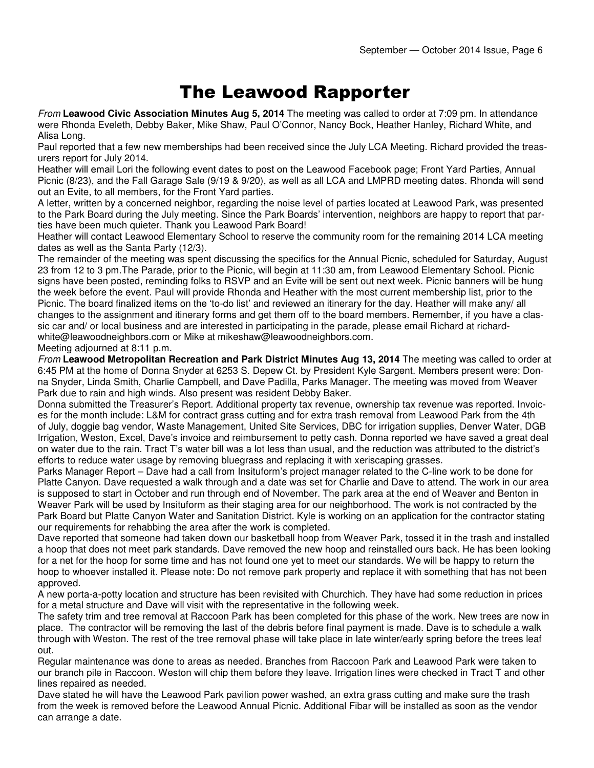## The Leawood Rapporter

From **Leawood Civic Association Minutes Aug 5, 2014** The meeting was called to order at 7:09 pm. In attendance were Rhonda Eveleth, Debby Baker, Mike Shaw, Paul O'Connor, Nancy Bock, Heather Hanley, Richard White, and Alisa Long.

Paul reported that a few new memberships had been received since the July LCA Meeting. Richard provided the treasurers report for July 2014.

Heather will email Lori the following event dates to post on the Leawood Facebook page; Front Yard Parties, Annual Picnic (8/23), and the Fall Garage Sale (9/19 & 9/20), as well as all LCA and LMPRD meeting dates. Rhonda will send out an Evite, to all members, for the Front Yard parties.

A letter, written by a concerned neighbor, regarding the noise level of parties located at Leawood Park, was presented to the Park Board during the July meeting. Since the Park Boards' intervention, neighbors are happy to report that parties have been much quieter. Thank you Leawood Park Board!

Heather will contact Leawood Elementary School to reserve the community room for the remaining 2014 LCA meeting dates as well as the Santa Party (12/3).

The remainder of the meeting was spent discussing the specifics for the Annual Picnic, scheduled for Saturday, August 23 from 12 to 3 pm.The Parade, prior to the Picnic, will begin at 11:30 am, from Leawood Elementary School. Picnic signs have been posted, reminding folks to RSVP and an Evite will be sent out next week. Picnic banners will be hung the week before the event. Paul will provide Rhonda and Heather with the most current membership list, prior to the Picnic. The board finalized items on the 'to-do list' and reviewed an itinerary for the day. Heather will make any/ all changes to the assignment and itinerary forms and get them off to the board members. Remember, if you have a classic car and/ or local business and are interested in participating in the parade, please email Richard at richardwhite@leawoodneighbors.com or Mike at mikeshaw@leawoodneighbors.com.

#### Meeting adjourned at 8:11 p.m.

From **Leawood Metropolitan Recreation and Park District Minutes Aug 13, 2014** The meeting was called to order at 6:45 PM at the home of Donna Snyder at 6253 S. Depew Ct. by President Kyle Sargent. Members present were: Donna Snyder, Linda Smith, Charlie Campbell, and Dave Padilla, Parks Manager. The meeting was moved from Weaver Park due to rain and high winds. Also present was resident Debby Baker.

Donna submitted the Treasurer's Report. Additional property tax revenue, ownership tax revenue was reported. Invoices for the month include: L&M for contract grass cutting and for extra trash removal from Leawood Park from the 4th of July, doggie bag vendor, Waste Management, United Site Services, DBC for irrigation supplies, Denver Water, DGB Irrigation, Weston, Excel, Dave's invoice and reimbursement to petty cash. Donna reported we have saved a great deal on water due to the rain. Tract T's water bill was a lot less than usual, and the reduction was attributed to the district's efforts to reduce water usage by removing bluegrass and replacing it with xeriscaping grasses.

Parks Manager Report – Dave had a call from Insituform's project manager related to the C-line work to be done for Platte Canyon. Dave requested a walk through and a date was set for Charlie and Dave to attend. The work in our area is supposed to start in October and run through end of November. The park area at the end of Weaver and Benton in Weaver Park will be used by Insituform as their staging area for our neighborhood. The work is not contracted by the Park Board but Platte Canyon Water and Sanitation District. Kyle is working on an application for the contractor stating our requirements for rehabbing the area after the work is completed.

Dave reported that someone had taken down our basketball hoop from Weaver Park, tossed it in the trash and installed a hoop that does not meet park standards. Dave removed the new hoop and reinstalled ours back. He has been looking for a net for the hoop for some time and has not found one yet to meet our standards. We will be happy to return the hoop to whoever installed it. Please note: Do not remove park property and replace it with something that has not been approved.

A new porta-a-potty location and structure has been revisited with Churchich. They have had some reduction in prices for a metal structure and Dave will visit with the representative in the following week.

The safety trim and tree removal at Raccoon Park has been completed for this phase of the work. New trees are now in place. The contractor will be removing the last of the debris before final payment is made. Dave is to schedule a walk through with Weston. The rest of the tree removal phase will take place in late winter/early spring before the trees leaf out.

Regular maintenance was done to areas as needed. Branches from Raccoon Park and Leawood Park were taken to our branch pile in Raccoon. Weston will chip them before they leave. Irrigation lines were checked in Tract T and other lines repaired as needed.

Dave stated he will have the Leawood Park pavilion power washed, an extra grass cutting and make sure the trash from the week is removed before the Leawood Annual Picnic. Additional Fibar will be installed as soon as the vendor can arrange a date.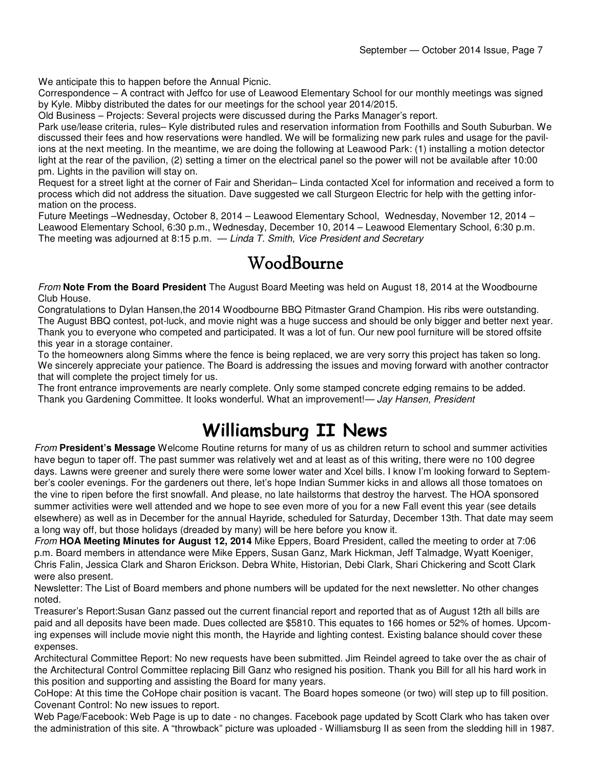We anticipate this to happen before the Annual Picnic.

Correspondence – A contract with Jeffco for use of Leawood Elementary School for our monthly meetings was signed by Kyle. Mibby distributed the dates for our meetings for the school year 2014/2015.

Old Business – Projects: Several projects were discussed during the Parks Manager's report.

Park use/lease criteria, rules– Kyle distributed rules and reservation information from Foothills and South Suburban. We discussed their fees and how reservations were handled. We will be formalizing new park rules and usage for the pavilions at the next meeting. In the meantime, we are doing the following at Leawood Park: (1) installing a motion detector light at the rear of the pavilion, (2) setting a timer on the electrical panel so the power will not be available after 10:00 pm. Lights in the pavilion will stay on.

Request for a street light at the corner of Fair and Sheridan– Linda contacted Xcel for information and received a form to process which did not address the situation. Dave suggested we call Sturgeon Electric for help with the getting information on the process.

Future Meetings –Wednesday, October 8, 2014 – Leawood Elementary School, Wednesday, November 12, 2014 – Leawood Elementary School, 6:30 p.m., Wednesday, December 10, 2014 – Leawood Elementary School, 6:30 p.m. The meeting was adjourned at 8:15 p.m.  $-$  Linda T. Smith, Vice President and Secretary

## WoodBourne WoodBourne

From **Note From the Board President** The August Board Meeting was held on August 18, 2014 at the Woodbourne Club House.

Congratulations to Dylan Hansen,the 2014 Woodbourne BBQ Pitmaster Grand Champion. His ribs were outstanding. The August BBQ contest, pot-luck, and movie night was a huge success and should be only bigger and better next year. Thank you to everyone who competed and participated. It was a lot of fun. Our new pool furniture will be stored offsite this year in a storage container.

To the homeowners along Simms where the fence is being replaced, we are very sorry this project has taken so long. We sincerely appreciate your patience. The Board is addressing the issues and moving forward with another contractor that will complete the project timely for us.

The front entrance improvements are nearly complete. Only some stamped concrete edging remains to be added. Thank you Gardening Committee. It looks wonderful. What an improvement!— Jay Hansen, President

## Williamsburg II News

From **President's Message** Welcome Routine returns for many of us as children return to school and summer activities have begun to taper off. The past summer was relatively wet and at least as of this writing, there were no 100 degree days. Lawns were greener and surely there were some lower water and Xcel bills. I know I'm looking forward to September's cooler evenings. For the gardeners out there, let's hope Indian Summer kicks in and allows all those tomatoes on the vine to ripen before the first snowfall. And please, no late hailstorms that destroy the harvest. The HOA sponsored summer activities were well attended and we hope to see even more of you for a new Fall event this year (see details elsewhere) as well as in December for the annual Hayride, scheduled for Saturday, December 13th. That date may seem a long way off, but those holidays (dreaded by many) will be here before you know it.

From **HOA Meeting Minutes for August 12, 2014** Mike Eppers, Board President, called the meeting to order at 7:06 p.m. Board members in attendance were Mike Eppers, Susan Ganz, Mark Hickman, Jeff Talmadge, Wyatt Koeniger, Chris Falin, Jessica Clark and Sharon Erickson. Debra White, Historian, Debi Clark, Shari Chickering and Scott Clark were also present.

Newsletter: The List of Board members and phone numbers will be updated for the next newsletter. No other changes noted.

Treasurer's Report:Susan Ganz passed out the current financial report and reported that as of August 12th all bills are paid and all deposits have been made. Dues collected are \$5810. This equates to 166 homes or 52% of homes. Upcoming expenses will include movie night this month, the Hayride and lighting contest. Existing balance should cover these expenses.

Architectural Committee Report: No new requests have been submitted. Jim Reindel agreed to take over the as chair of the Architectural Control Committee replacing Bill Ganz who resigned his position. Thank you Bill for all his hard work in this position and supporting and assisting the Board for many years.

CoHope: At this time the CoHope chair position is vacant. The Board hopes someone (or two) will step up to fill position. Covenant Control: No new issues to report.

Web Page/Facebook: Web Page is up to date - no changes. Facebook page updated by Scott Clark who has taken over the administration of this site. A "throwback" picture was uploaded - Williamsburg II as seen from the sledding hill in 1987.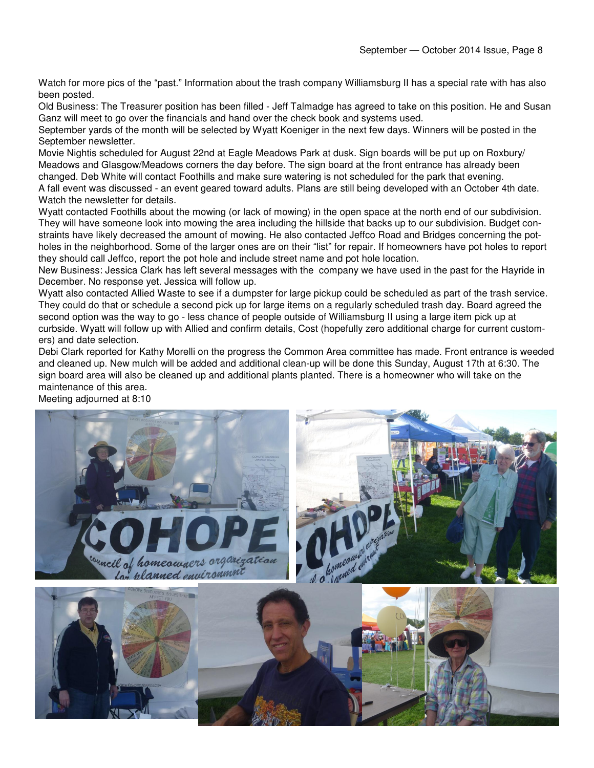Watch for more pics of the "past." Information about the trash company Williamsburg II has a special rate with has also been posted.

Old Business: The Treasurer position has been filled - Jeff Talmadge has agreed to take on this position. He and Susan Ganz will meet to go over the financials and hand over the check book and systems used.

September yards of the month will be selected by Wyatt Koeniger in the next few days. Winners will be posted in the September newsletter.

Movie Nightis scheduled for August 22nd at Eagle Meadows Park at dusk. Sign boards will be put up on Roxbury/ Meadows and Glasgow/Meadows corners the day before. The sign board at the front entrance has already been changed. Deb White will contact Foothills and make sure watering is not scheduled for the park that evening.

A fall event was discussed - an event geared toward adults. Plans are still being developed with an October 4th date. Watch the newsletter for details.

Wyatt contacted Foothills about the mowing (or lack of mowing) in the open space at the north end of our subdivision. They will have someone look into mowing the area including the hillside that backs up to our subdivision. Budget constraints have likely decreased the amount of mowing. He also contacted Jeffco Road and Bridges concerning the potholes in the neighborhood. Some of the larger ones are on their "list" for repair. If homeowners have pot holes to report they should call Jeffco, report the pot hole and include street name and pot hole location.

New Business: Jessica Clark has left several messages with the company we have used in the past for the Hayride in December. No response yet. Jessica will follow up.

Wyatt also contacted Allied Waste to see if a dumpster for large pickup could be scheduled as part of the trash service. They could do that or schedule a second pick up for large items on a regularly scheduled trash day. Board agreed the second option was the way to go - less chance of people outside of Williamsburg II using a large item pick up at curbside. Wyatt will follow up with Allied and confirm details, Cost (hopefully zero additional charge for current customers) and date selection.

Debi Clark reported for Kathy Morelli on the progress the Common Area committee has made. Front entrance is weeded and cleaned up. New mulch will be added and additional clean-up will be done this Sunday, August 17th at 6:30. The sign board area will also be cleaned up and additional plants planted. There is a homeowner who will take on the maintenance of this area. Meeting adjourned at 8:10

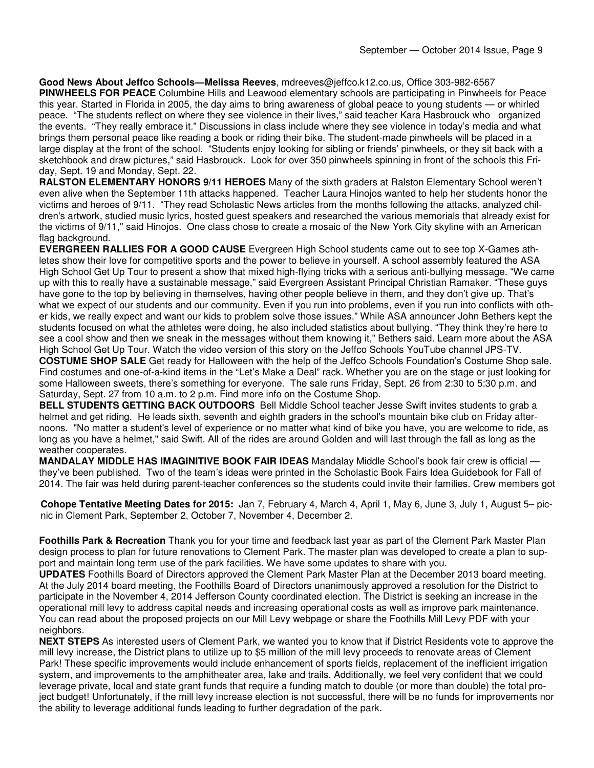**Good News About Jeffco Schools—Melissa Reeves**, mdreeves@jeffco.k12.co.us, Office 303-982-6567 **PINWHEELS FOR PEACE** Columbine Hills and Leawood elementary schools are participating in Pinwheels for Peace this year. Started in Florida in 2005, the day aims to bring awareness of global peace to young students — or whirled peace. "The students reflect on where they see violence in their lives," said teacher Kara Hasbrouck who organized the events. "They really embrace it." Discussions in class include where they see violence in today's media and what brings them personal peace like reading a book or riding their bike. The student-made pinwheels will be placed in a large display at the front of the school. "Students enjoy looking for sibling or friends' pinwheels, or they sit back with a sketchbook and draw pictures," said Hasbrouck. Look for over 350 pinwheels spinning in front of the schools this Friday, Sept. 19 and Monday, Sept. 22.

**RALSTON ELEMENTARY HONORS 9/11 HEROES** Many of the sixth graders at Ralston Elementary School weren't even alive when the September 11th attacks happened. Teacher Laura Hinojos wanted to help her students honor the victims and heroes of 9/11. "They read Scholastic News articles from the months following the attacks, analyzed children's artwork, studied music lyrics, hosted guest speakers and researched the various memorials that already exist for the victims of 9/11," said Hinojos. One class chose to create a mosaic of the New York City skyline with an American flag background.

**EVERGREEN RALLIES FOR A GOOD CAUSE** Evergreen High School students came out to see top X-Games athletes show their love for competitive sports and the power to believe in yourself. A school assembly featured the ASA High School Get Up Tour to present a show that mixed high-flying tricks with a serious anti-bullying message. "We came up with this to really have a sustainable message," said Evergreen Assistant Principal Christian Ramaker. "These guys have gone to the top by believing in themselves, having other people believe in them, and they don't give up. That's what we expect of our students and our community. Even if you run into problems, even if you run into conflicts with other kids, we really expect and want our kids to problem solve those issues." While ASA announcer John Bethers kept the students focused on what the athletes were doing, he also included statistics about bullying. "They think they're here to see a cool show and then we sneak in the messages without them knowing it," Bethers said. Learn more about the ASA High School Get Up Tour. Watch the video version of this story on the Jeffco Schools YouTube channel JPS-TV. **COSTUME SHOP SALE** Get ready for Halloween with the help of the Jeffco Schools Foundation's Costume Shop sale. Find costumes and one-of-a-kind items in the "Let's Make a Deal" rack. Whether you are on the stage or just looking for some Halloween sweets, there's something for everyone. The sale runs Friday, Sept. 26 from 2:30 to 5:30 p.m. and

Saturday, Sept. 27 from 10 a.m. to 2 p.m. Find more info on the Costume Shop.

**BELL STUDENTS GETTING BACK OUTDOORS** Bell Middle School teacher Jesse Swift invites students to grab a helmet and get riding. He leads sixth, seventh and eighth graders in the school's mountain bike club on Friday afternoons. "No matter a student's level of experience or no matter what kind of bike you have, you are welcome to ride, as long as you have a helmet," said Swift. All of the rides are around Golden and will last through the fall as long as the weather cooperates.

**MANDALAY MIDDLE HAS IMAGINITIVE BOOK FAIR IDEAS** Mandalay Middle School's book fair crew is official they've been published. Two of the team's ideas were printed in the Scholastic Book Fairs Idea Guidebook for Fall of 2014. The fair was held during parent-teacher conferences so the students could invite their families. Crew members got

**Cohope Tentative Meeting Dates for 2015:** Jan 7, February 4, March 4, April 1, May 6, June 3, July 1, August 5– picnic in Clement Park, September 2, October 7, November 4, December 2.

**Foothills Park & Recreation** Thank you for your time and feedback last year as part of the Clement Park Master Plan design process to plan for future renovations to Clement Park. The master plan was developed to create a plan to support and maintain long term use of the park facilities. We have some updates to share with you.

**UPDATES** Foothills Board of Directors approved the Clement Park Master Plan at the December 2013 board meeting. At the July 2014 board meeting, the Foothills Board of Directors unanimously approved a resolution for the District to participate in the November 4, 2014 Jefferson County coordinated election. The District is seeking an increase in the operational mill levy to address capital needs and increasing operational costs as well as improve park maintenance. You can read about the proposed projects on our Mill Levy webpage or share the Foothills Mill Levy PDF with your neighbors.

**NEXT STEPS** As interested users of Clement Park, we wanted you to know that if District Residents vote to approve the mill levy increase, the District plans to utilize up to \$5 million of the mill levy proceeds to renovate areas of Clement Park! These specific improvements would include enhancement of sports fields, replacement of the inefficient irrigation system, and improvements to the amphitheater area, lake and trails. Additionally, we feel very confident that we could leverage private, local and state grant funds that require a funding match to double (or more than double) the total project budget! Unfortunately, if the mill levy increase election is not successful, there will be no funds for improvements nor the ability to leverage additional funds leading to further degradation of the park.